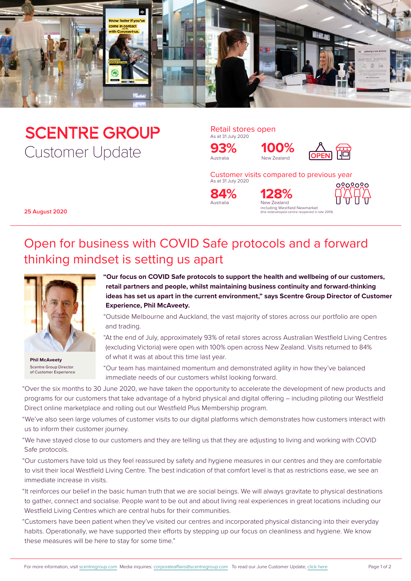

# **SCENTRE GROUP** Customer Update

Retail stores open As at 31 July 2020

Australia New Zealand **93%**



Customer visits compared to previous year As at 31 July 2020

**100%**

Australia **84%**



ed centre reopened in late 2019

including Westfield Newmarket



**25 August 2020**

## Open for business with COVID Safe protocols and a forward thinking mindset is setting us apart



**Phil McAveety** Scentre Group Director of Customer Experience

**"Our focus on COVID Safe protocols to support the health and wellbeing of our customers, retail partners and people, whilst maintaining business continuity and forward-thinking ideas has set us apart in the current environment," says Scentre Group Director of Customer Experience, Phil McAveety.**

"Outside Melbourne and Auckland, the vast majority of stores across our portfolio are open and trading.

"At the end of July, approximately 93% of retail stores across Australian Westfield Living Centres (excluding Victoria) were open with 100% open across New Zealand. Visits returned to 84% of what it was at about this time last year.

"Our team has maintained momentum and demonstrated agility in how they've balanced immediate needs of our customers whilst looking forward.

"Over the six months to 30 June 2020, we have taken the opportunity to accelerate the development of new products and programs for our customers that take advantage of a hybrid physical and digital offering – including piloting our Westfield Direct online marketplace and rolling out our Westfield Plus Membership program.

"We've also seen large volumes of customer visits to our digital platforms which demonstrates how customers interact with us to inform their customer journey.

"We have stayed close to our customers and they are telling us that they are adjusting to living and working with COVID Safe protocols.

"Our customers have told us they feel reassured by safety and hygiene measures in our centres and they are comfortable to visit their local Westfield Living Centre. The best indication of that comfort level is that as restrictions ease, we see an immediate increase in visits.

"It reinforces our belief in the basic human truth that we are social beings. We will always gravitate to physical destinations to gather, connect and socialise. People want to be out and about living real experiences in great locations including our Westfield Living Centres which are central hubs for their communities.

"Customers have been patient when they've visited our centres and incorporated physical distancing into their everyday habits. Operationally, we have supported their efforts by stepping up our focus on cleanliness and hygiene. We know these measures will be here to stay for some time."